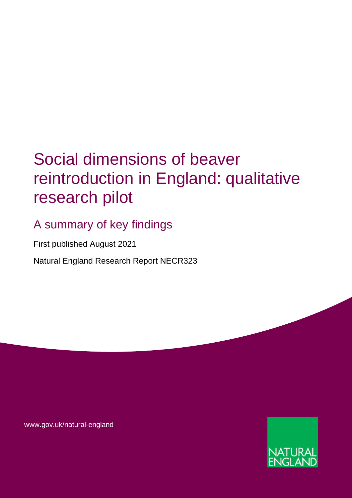# Social dimensions of beaver reintroduction in England: qualitative research pilot

A summary of key findings

First published August 2021

Natural England Research Report NECR323

[www.gov.uk/natural-england](http://www.gov.uk/natural-england)

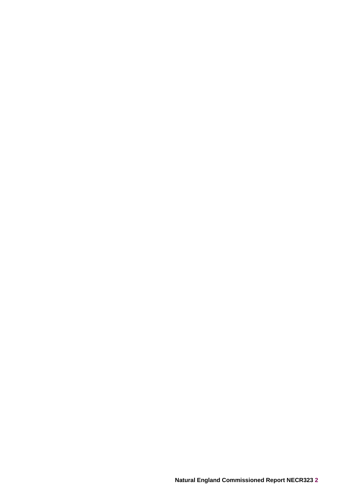**Natural England Commissioned Report NECR323 2**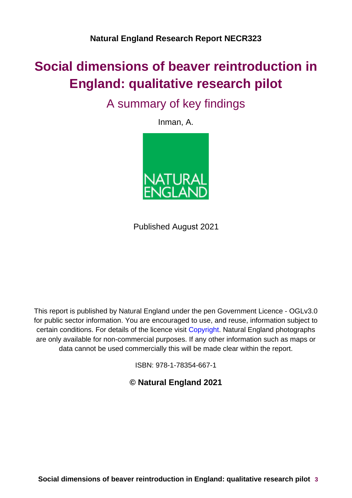**Natural England Research Report NECR323**

### <span id="page-2-0"></span>**Social dimensions of beaver reintroduction in England: qualitative research pilot**

A summary of key findings

Inman, A.



Published August 2021

This report is published by Natural England under the pen Government Licence - OGLv3.0 for public sector information. You are encouraged to use, and reuse, information subject to certain conditions. For details of the licence visit [Copyright.](http://publications.naturalengland.org.uk/copyright) Natural England photographs are only available for non-commercial purposes. If any other information such as maps or data cannot be used commercially this will be made clear within the report.

ISBN: 978-1-78354-667-1

**© Natural England 2021**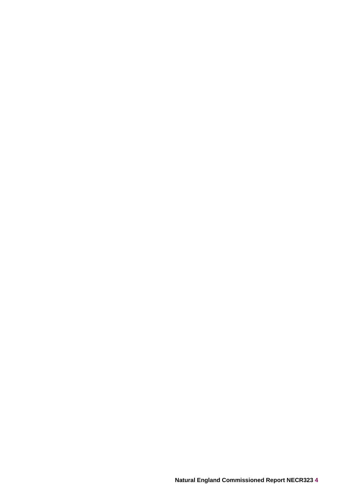**Natural England Commissioned Report NECR323 4**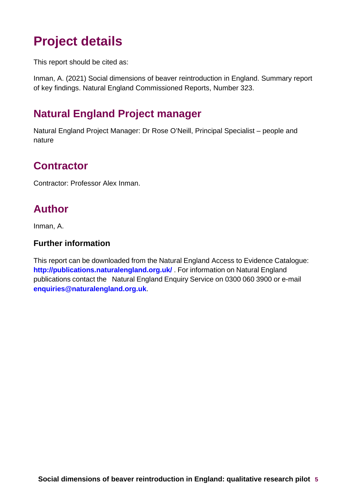### <span id="page-4-0"></span>**Project details**

This report should be cited as:

Inman, A. (2021) Social dimensions of beaver reintroduction in England. Summary report of key findings. Natural England Commissioned Reports, Number 323.

### <span id="page-4-1"></span>**Natural England Project manager**

Natural England Project Manager: Dr Rose O'Neill, Principal Specialist – people and nature

#### <span id="page-4-2"></span>**Contractor**

Contractor: Professor Alex Inman.

### <span id="page-4-3"></span>**Author**

Inman, A.

#### **Further information**

This report can be downloaded from the Natural England Access to Evidence Catalogue: **<http://publications.naturalengland.org.uk/>** . For information on Natural England publications contact the Natural England Enquiry Service on 0300 060 3900 or e-mail **[enquiries@naturalengland.org.uk](mailto:enquiries@naturalengland.org.uk)**.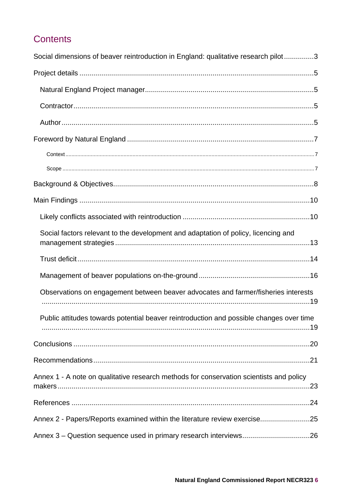#### Contents

| Social dimensions of beaver reintroduction in England: qualitative research pilot3      |
|-----------------------------------------------------------------------------------------|
|                                                                                         |
|                                                                                         |
|                                                                                         |
|                                                                                         |
|                                                                                         |
|                                                                                         |
|                                                                                         |
|                                                                                         |
|                                                                                         |
|                                                                                         |
| Social factors relevant to the development and adaptation of policy, licencing and      |
|                                                                                         |
|                                                                                         |
| Observations on engagement between beaver advocates and farmer/fisheries interests      |
| Public attitudes towards potential beaver reintroduction and possible changes over time |
|                                                                                         |
|                                                                                         |
| Annex 1 - A note on qualitative research methods for conservation scientists and policy |
|                                                                                         |
| Annex 2 - Papers/Reports examined within the literature review exercise25               |
|                                                                                         |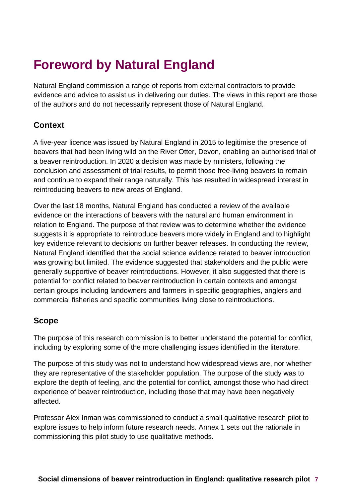### <span id="page-6-0"></span>**Foreword by Natural England**

Natural England commission a range of reports from external contractors to provide evidence and advice to assist us in delivering our duties. The views in this report are those of the authors and do not necessarily represent those of Natural England.

#### <span id="page-6-1"></span>**Context**

A five-year licence was issued by Natural England in 2015 to legitimise the presence of beavers that had been living wild on the River Otter, Devon, enabling an authorised trial of a beaver reintroduction. In 2020 a decision was made by ministers, following the conclusion and assessment of trial results, to permit those free-living beavers to remain and continue to expand their range naturally. This has resulted in widespread interest in reintroducing beavers to new areas of England.

Over the last 18 months, Natural England has conducted a review of the available evidence on the interactions of beavers with the natural and human environment in relation to England. The purpose of that review was to determine whether the evidence suggests it is appropriate to reintroduce beavers more widely in England and to highlight key evidence relevant to decisions on further beaver releases. In conducting the review, Natural England identified that the social science evidence related to beaver introduction was growing but limited. The evidence suggested that stakeholders and the public were generally supportive of beaver reintroductions. However, it also suggested that there is potential for conflict related to beaver reintroduction in certain contexts and amongst certain groups including landowners and farmers in specific geographies, anglers and commercial fisheries and specific communities living close to reintroductions.

#### <span id="page-6-2"></span>**Scope**

The purpose of this research commission is to better understand the potential for conflict, including by exploring some of the more challenging issues identified in the literature.

The purpose of this study was not to understand how widespread views are, nor whether they are representative of the stakeholder population. The purpose of the study was to explore the depth of feeling, and the potential for conflict, amongst those who had direct experience of beaver reintroduction, including those that may have been negatively affected.

Professor Alex Inman was commissioned to conduct a small qualitative research pilot to explore issues to help inform future research needs. Annex 1 sets out the rationale in commissioning this pilot study to use qualitative methods.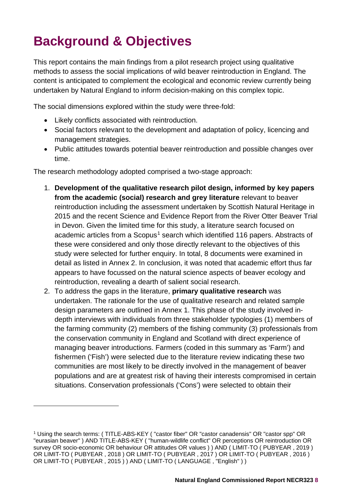## <span id="page-7-0"></span>**Background & Objectives**

This report contains the main findings from a pilot research project using qualitative methods to assess the social implications of wild beaver reintroduction in England. The content is anticipated to complement the ecological and economic review currently being undertaken by Natural England to inform decision-making on this complex topic.

The social dimensions explored within the study were three-fold:

- Likely conflicts associated with reintroduction.
- Social factors relevant to the development and adaptation of policy, licencing and management strategies.
- Public attitudes towards potential beaver reintroduction and possible changes over time.

The research methodology adopted comprised a two-stage approach:

- 1. **Development of the qualitative research pilot design, informed by key papers from the academic (social) research and grey literature** relevant to beaver reintroduction including the assessment undertaken by Scottish Natural Heritage in 2015 and the recent Science and Evidence Report from the River Otter Beaver Trial in Devon. Given the limited time for this study, a literature search focused on academic articles from a Scopus<sup>[1](#page-7-1)</sup> search which identified 116 papers. Abstracts of these were considered and only those directly relevant to the objectives of this study were selected for further enquiry. In total, 8 documents were examined in detail as listed in Annex 2. In conclusion, it was noted that academic effort thus far appears to have focussed on the natural science aspects of beaver ecology and reintroduction, revealing a dearth of salient social research.
- 2. To address the gaps in the literature, **primary qualitative research** was undertaken. The rationale for the use of qualitative research and related sample design parameters are outlined in Annex 1. This phase of the study involved indepth interviews with individuals from three stakeholder typologies (1) members of the farming community (2) members of the fishing community (3) professionals from the conservation community in England and Scotland with direct experience of managing beaver introductions. Farmers (coded in this summary as 'Farm') and fishermen ('Fish') were selected due to the literature review indicating these two communities are most likely to be directly involved in the management of beaver populations and are at greatest risk of having their interests compromised in certain situations. Conservation professionals ('Cons') were selected to obtain their

<span id="page-7-1"></span><sup>1</sup> Using the search terms: ( TITLE-ABS-KEY ( "castor fiber" OR "castor canadensis" OR "castor spp" OR "eurasian beaver" ) AND TITLE-ABS-KEY ( "human-wildlife conflict" OR perceptions OR reintroduction OR survey OR socio-economic OR behaviour OR attitudes OR values ) ) AND (LIMIT-TO (PUBYEAR, 2019) OR LIMIT-TO ( PUBYEAR , 2018 ) OR LIMIT-TO ( PUBYEAR , 2017 ) OR LIMIT-TO ( PUBYEAR , 2016 ) OR LIMIT-TO ( PUBYEAR , 2015 ) ) AND ( LIMIT-TO ( LANGUAGE , "English" ) )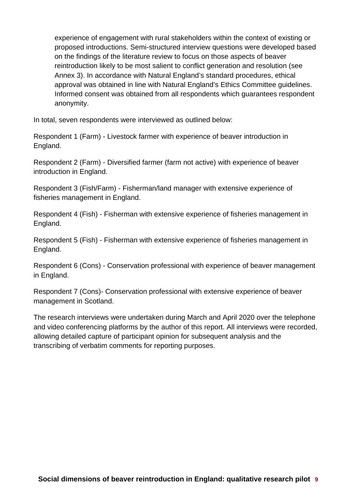experience of engagement with rural stakeholders within the context of existing or proposed introductions. Semi-structured interview questions were developed based on the findings of the literature review to focus on those aspects of beaver reintroduction likely to be most salient to conflict generation and resolution (see Annex 3). In accordance with Natural England's standard procedures, ethical approval was obtained in line with Natural England's Ethics Committee guidelines. Informed consent was obtained from all respondents which guarantees respondent anonymity.

In total, seven respondents were interviewed as outlined below:

Respondent 1 (Farm) - Livestock farmer with experience of beaver introduction in England.

Respondent 2 (Farm) - Diversified farmer (farm not active) with experience of beaver introduction in England.

Respondent 3 (Fish/Farm) - Fisherman/land manager with extensive experience of fisheries management in England.

Respondent 4 (Fish) - Fisherman with extensive experience of fisheries management in England.

Respondent 5 (Fish) - Fisherman with extensive experience of fisheries management in England.

Respondent 6 (Cons) - Conservation professional with experience of beaver management in England.

Respondent 7 (Cons)- Conservation professional with extensive experience of beaver management in Scotland.

The research interviews were undertaken during March and April 2020 over the telephone and video conferencing platforms by the author of this report. All interviews were recorded, allowing detailed capture of participant opinion for subsequent analysis and the transcribing of verbatim comments for reporting purposes.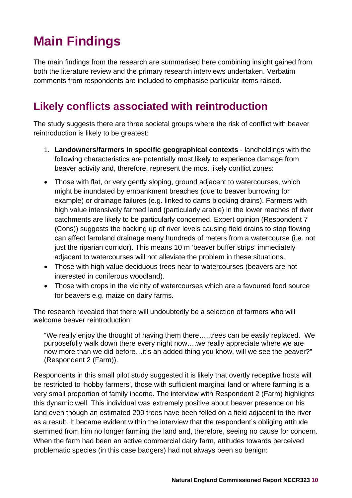## <span id="page-9-0"></span>**Main Findings**

The main findings from the research are summarised here combining insight gained from both the literature review and the primary research interviews undertaken. Verbatim comments from respondents are included to emphasise particular items raised.

### <span id="page-9-1"></span>**Likely conflicts associated with reintroduction**

The study suggests there are three societal groups where the risk of conflict with beaver reintroduction is likely to be greatest:

- 1. **Landowners/farmers in specific geographical contexts** landholdings with the following characteristics are potentially most likely to experience damage from beaver activity and, therefore, represent the most likely conflict zones:
- Those with flat, or very gently sloping, ground adjacent to watercourses, which might be inundated by embankment breaches (due to beaver burrowing for example) or drainage failures (e.g. linked to dams blocking drains). Farmers with high value intensively farmed land (particularly arable) in the lower reaches of river catchments are likely to be particularly concerned. Expert opinion (Respondent 7 (Cons)) suggests the backing up of river levels causing field drains to stop flowing can affect farmland drainage many hundreds of meters from a watercourse (i.e. not just the riparian corridor). This means 10 m 'beaver buffer strips' immediately adjacent to watercourses will not alleviate the problem in these situations.
- Those with high value deciduous trees near to watercourses (beavers are not interested in coniferous woodland).
- Those with crops in the vicinity of watercourses which are a favoured food source for beavers e.g. maize on dairy farms.

The research revealed that there will undoubtedly be a selection of farmers who will welcome beaver reintroduction:

"We really enjoy the thought of having them there…..trees can be easily replaced. We purposefully walk down there every night now….we really appreciate where we are now more than we did before…it's an added thing you know, will we see the beaver?" (Respondent 2 (Farm)).

Respondents in this small pilot study suggested it is likely that overtly receptive hosts will be restricted to 'hobby farmers', those with sufficient marginal land or where farming is a very small proportion of family income. The interview with Respondent 2 (Farm) highlights this dynamic well. This individual was extremely positive about beaver presence on his land even though an estimated 200 trees have been felled on a field adjacent to the river as a result. It became evident within the interview that the respondent's obliging attitude stemmed from him no longer farming the land and, therefore, seeing no cause for concern. When the farm had been an active commercial dairy farm, attitudes towards perceived problematic species (in this case badgers) had not always been so benign: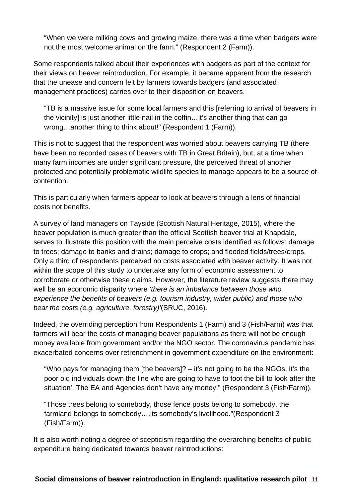"When we were milking cows and growing maize, there was a time when badgers were not the most welcome animal on the farm." (Respondent 2 (Farm)).

Some respondents talked about their experiences with badgers as part of the context for their views on beaver reintroduction. For example, it became apparent from the research that the unease and concern felt by farmers towards badgers (and associated management practices) carries over to their disposition on beavers.

"TB is a massive issue for some local farmers and this [referring to arrival of beavers in the vicinity] is just another little nail in the coffin…it's another thing that can go wrong…another thing to think about!" (Respondent 1 (Farm)).

This is not to suggest that the respondent was worried about beavers carrying TB (there have been no recorded cases of beavers with TB in Great Britain), but, at a time when many farm incomes are under significant pressure, the perceived threat of another protected and potentially problematic wildlife species to manage appears to be a source of contention.

This is particularly when farmers appear to look at beavers through a lens of financial costs not benefits.

A survey of land managers on Tayside (Scottish Natural Heritage, 2015), where the beaver population is much greater than the official Scottish beaver trial at Knapdale, serves to illustrate this position with the main perceive costs identified as follows: damage to trees; damage to banks and drains; damage to crops; and flooded fields/trees/crops. Only a third of respondents perceived no costs associated with beaver activity. It was not within the scope of this study to undertake any form of economic assessment to corroborate or otherwise these claims. However, the literature review suggests there may well be an economic disparity where *'there is an imbalance between those who experience the benefits of beavers (e.g. tourism industry, wider public) and those who bear the costs (e.g. agriculture, forestry)'*(SRUC, 2016).

Indeed, the overriding perception from Respondents 1 (Farm) and 3 (Fish/Farm) was that farmers will bear the costs of managing beaver populations as there will not be enough money available from government and/or the NGO sector. The coronavirus pandemic has exacerbated concerns over retrenchment in government expenditure on the environment:

"Who pays for managing them [the beavers]? – it's not going to be the NGOs, it's the poor old individuals down the line who are going to have to foot the bill to look after the situation'. The EA and Agencies don't have any money." (Respondent 3 (Fish/Farm)).

"Those trees belong to somebody, those fence posts belong to somebody, the farmland belongs to somebody….its somebody's livelihood."(Respondent 3 (Fish/Farm)).

It is also worth noting a degree of scepticism regarding the overarching benefits of public expenditure being dedicated towards beaver reintroductions: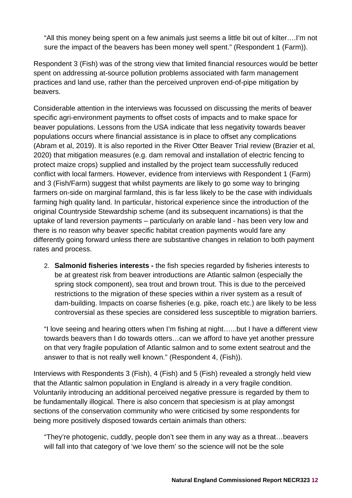"All this money being spent on a few animals just seems a little bit out of kilter….I'm not sure the impact of the beavers has been money well spent." (Respondent 1 (Farm)).

Respondent 3 (Fish) was of the strong view that limited financial resources would be better spent on addressing at-source pollution problems associated with farm management practices and land use, rather than the perceived unproven end-of-pipe mitigation by beavers.

Considerable attention in the interviews was focussed on discussing the merits of beaver specific agri-environment payments to offset costs of impacts and to make space for beaver populations. Lessons from the USA indicate that less negativity towards beaver populations occurs where financial assistance is in place to offset any complications (Abram et al, 2019). It is also reported in the River Otter Beaver Trial review (Brazier et al, 2020) that mitigation measures (e.g. dam removal and installation of electric fencing to protect maize crops) supplied and installed by the project team successfully reduced conflict with local farmers. However, evidence from interviews with Respondent 1 (Farm) and 3 (Fish/Farm) suggest that whilst payments are likely to go some way to bringing farmers on-side on marginal farmland, this is far less likely to be the case with individuals farming high quality land. In particular, historical experience since the introduction of the original Countryside Stewardship scheme (and its subsequent incarnations) is that the uptake of land reversion payments – particularly on arable land - has been very low and there is no reason why beaver specific habitat creation payments would fare any differently going forward unless there are substantive changes in relation to both payment rates and process.

2. **Salmonid fisheries interests -** the fish species regarded by fisheries interests to be at greatest risk from beaver introductions are Atlantic salmon (especially the spring stock component), sea trout and brown trout. This is due to the perceived restrictions to the migration of these species within a river system as a result of dam-building. Impacts on coarse fisheries (e.g. pike, roach etc.) are likely to be less controversial as these species are considered less susceptible to migration barriers.

"I love seeing and hearing otters when I'm fishing at night…...but I have a different view towards beavers than I do towards otters…can we afford to have yet another pressure on that very fragile population of Atlantic salmon and to some extent seatrout and the answer to that is not really well known." (Respondent 4, (Fish)).

Interviews with Respondents 3 (Fish), 4 (Fish) and 5 (Fish) revealed a strongly held view that the Atlantic salmon population in England is already in a very fragile condition. Voluntarily introducing an additional perceived negative pressure is regarded by them to be fundamentally illogical. There is also concern that speciesism is at play amongst sections of the conservation community who were criticised by some respondents for being more positively disposed towards certain animals than others:

"They're photogenic, cuddly, people don't see them in any way as a threat…beavers will fall into that category of 'we love them' so the science will not be the sole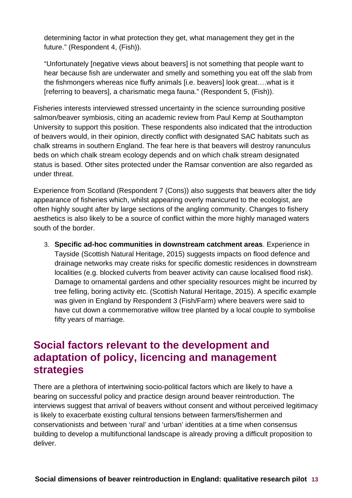determining factor in what protection they get, what management they get in the future." (Respondent 4, (Fish)).

"Unfortunately [negative views about beavers] is not something that people want to hear because fish are underwater and smelly and something you eat off the slab from the fishmongers whereas nice fluffy animals *li.e.* beavers] look great....what is it [referring to beavers], a charismatic mega fauna." (Respondent 5, (Fish)).

Fisheries interests interviewed stressed uncertainty in the science surrounding positive salmon/beaver symbiosis, citing an academic review from Paul Kemp at Southampton University to support this position. These respondents also indicated that the introduction of beavers would, in their opinion, directly conflict with designated SAC habitats such as chalk streams in southern England. The fear here is that beavers will destroy ranunculus beds on which chalk stream ecology depends and on which chalk stream designated status is based. Other sites protected under the Ramsar convention are also regarded as under threat.

Experience from Scotland (Respondent 7 (Cons)) also suggests that beavers alter the tidy appearance of fisheries which, whilst appearing overly manicured to the ecologist, are often highly sought after by large sections of the angling community. Changes to fishery aesthetics is also likely to be a source of conflict within the more highly managed waters south of the border.

3. **Specific ad-hoc communities in downstream catchment areas**. Experience in Tayside (Scottish Natural Heritage, 2015) suggests impacts on flood defence and drainage networks may create risks for specific domestic residences in downstream localities (e.g. blocked culverts from beaver activity can cause localised flood risk). Damage to ornamental gardens and other speciality resources might be incurred by tree felling, boring activity etc. (Scottish Natural Heritage, 2015). A specific example was given in England by Respondent 3 (Fish/Farm) where beavers were said to have cut down a commemorative willow tree planted by a local couple to symbolise fifty years of marriage.

#### <span id="page-12-0"></span>**Social factors relevant to the development and adaptation of policy, licencing and management strategies**

There are a plethora of intertwining socio-political factors which are likely to have a bearing on successful policy and practice design around beaver reintroduction. The interviews suggest that arrival of beavers without consent and without perceived legitimacy is likely to exacerbate existing cultural tensions between farmers/fishermen and conservationists and between 'rural' and 'urban' identities at a time when consensus building to develop a multifunctional landscape is already proving a difficult proposition to deliver.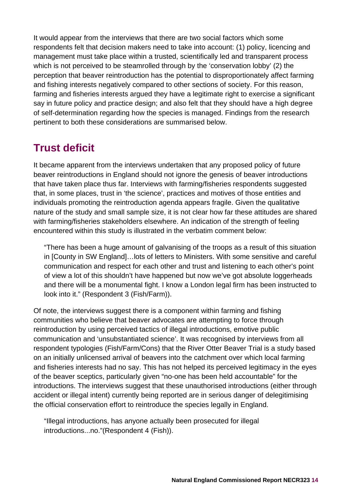It would appear from the interviews that there are two social factors which some respondents felt that decision makers need to take into account: (1) policy, licencing and management must take place within a trusted, scientifically led and transparent process which is not perceived to be steamrolled through by the 'conservation lobby' (2) the perception that beaver reintroduction has the potential to disproportionately affect farming and fishing interests negatively compared to other sections of society. For this reason, farming and fisheries interests argued they have a legitimate right to exercise a significant say in future policy and practice design; and also felt that they should have a high degree of self-determination regarding how the species is managed. Findings from the research pertinent to both these considerations are summarised below.

### <span id="page-13-0"></span>**Trust deficit**

It became apparent from the interviews undertaken that any proposed policy of future beaver reintroductions in England should not ignore the genesis of beaver introductions that have taken place thus far. Interviews with farming/fisheries respondents suggested that, in some places, trust in 'the science', practices and motives of those entities and individuals promoting the reintroduction agenda appears fragile. Given the qualitative nature of the study and small sample size, it is not clear how far these attitudes are shared with farming/fisheries stakeholders elsewhere. An indication of the strength of feeling encountered within this study is illustrated in the verbatim comment below:

"There has been a huge amount of galvanising of the troops as a result of this situation in [County in SW England]…lots of letters to Ministers. With some sensitive and careful communication and respect for each other and trust and listening to each other's point of view a lot of this shouldn't have happened but now we've got absolute loggerheads and there will be a monumental fight. I know a London legal firm has been instructed to look into it." (Respondent 3 (Fish/Farm)).

Of note, the interviews suggest there is a component within farming and fishing communities who believe that beaver advocates are attempting to force through reintroduction by using perceived tactics of illegal introductions, emotive public communication and 'unsubstantiated science'. It was recognised by interviews from all respondent typologies (Fish/Farm/Cons) that the River Otter Beaver Trial is a study based on an initially unlicensed arrival of beavers into the catchment over which local farming and fisheries interests had no say. This has not helped its perceived legitimacy in the eyes of the beaver sceptics, particularly given "no-one has been held accountable" for the introductions. The interviews suggest that these unauthorised introductions (either through accident or illegal intent) currently being reported are in serious danger of delegitimising the official conservation effort to reintroduce the species legally in England.

"Illegal introductions, has anyone actually been prosecuted for illegal introductions...no."(Respondent 4 (Fish)).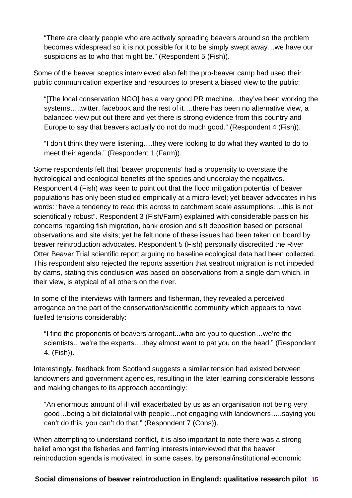"There are clearly people who are actively spreading beavers around so the problem becomes widespread so it is not possible for it to be simply swept away…we have our suspicions as to who that might be." (Respondent 5 (Fish)).

Some of the beaver sceptics interviewed also felt the pro-beaver camp had used their public communication expertise and resources to present a biased view to the public:

"[The local conservation NGO] has a very good PR machine…they've been working the systems….twitter, facebook and the rest of it….there has been no alternative view, a balanced view put out there and yet there is strong evidence from this country and Europe to say that beavers actually do not do much good." (Respondent 4 (Fish)).

"I don't think they were listening….they were looking to do what they wanted to do to meet their agenda." (Respondent 1 (Farm)).

Some respondents felt that 'beaver proponents' had a propensity to overstate the hydrological and ecological benefits of the species and underplay the negatives. Respondent 4 (Fish) was keen to point out that the flood mitigation potential of beaver populations has only been studied empirically at a micro-level; yet beaver advocates in his words: "have a tendency to read this across to catchment scale assumptions….this is not scientifically robust". Respondent 3 (Fish/Farm) explained with considerable passion his concerns regarding fish migration, bank erosion and silt deposition based on personal observations and site visits; yet he felt none of these issues had been taken on board by beaver reintroduction advocates. Respondent 5 (Fish) personally discredited the River Otter Beaver Trial scientific report arguing no baseline ecological data had been collected. This respondent also rejected the reports assertion that seatrout migration is not impeded by dams, stating this conclusion was based on observations from a single dam which, in their view, is atypical of all others on the river.

In some of the interviews with farmers and fisherman, they revealed a perceived arrogance on the part of the conservation/scientific community which appears to have fuelled tensions considerably:

"I find the proponents of beavers arrogant...who are you to question…we're the scientists…we're the experts….they almost want to pat you on the head." (Respondent 4, (Fish)).

Interestingly, feedback from Scotland suggests a similar tension had existed between landowners and government agencies, resulting in the later learning considerable lessons and making changes to its approach accordingly:

"An enormous amount of ill will exacerbated by us as an organisation not being very good…being a bit dictatorial with people…not engaging with landowners…..saying you can't do this, you can't do that." (Respondent 7 (Cons)).

When attempting to understand conflict, it is also important to note there was a strong belief amongst the fisheries and farming interests interviewed that the beaver reintroduction agenda is motivated, in some cases, by personal/institutional economic

#### **Social dimensions of beaver reintroduction in England: qualitative research pilot 15**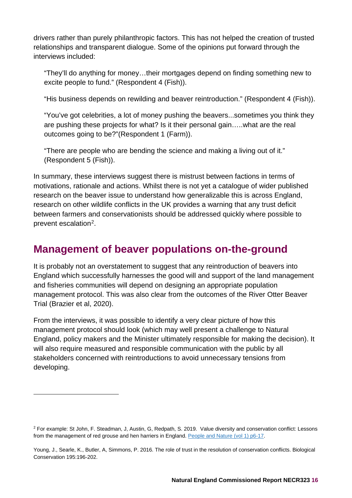drivers rather than purely philanthropic factors. This has not helped the creation of trusted relationships and transparent dialogue. Some of the opinions put forward through the interviews included:

"They'll do anything for money…their mortgages depend on finding something new to excite people to fund." (Respondent 4 (Fish)).

"His business depends on rewilding and beaver reintroduction." (Respondent 4 (Fish)).

"You've got celebrities, a lot of money pushing the beavers...sometimes you think they are pushing these projects for what? Is it their personal gain…..what are the real outcomes going to be?"(Respondent 1 (Farm)).

"There are people who are bending the science and making a living out of it." (Respondent 5 (Fish)).

In summary, these interviews suggest there is mistrust between factions in terms of motivations, rationale and actions. Whilst there is not yet a catalogue of wider published research on the beaver issue to understand how generalizable this is across England, research on other wildlife conflicts in the UK provides a warning that any trust deficit between farmers and conservationists should be addressed quickly where possible to prevent escalation[2](#page-15-1).

#### <span id="page-15-0"></span>**Management of beaver populations on-the-ground**

It is probably not an overstatement to suggest that any reintroduction of beavers into England which successfully harnesses the good will and support of the land management and fisheries communities will depend on designing an appropriate population management protocol. This was also clear from the outcomes of the River Otter Beaver Trial (Brazier et al, 2020).

From the interviews, it was possible to identify a very clear picture of how this management protocol should look (which may well present a challenge to Natural England, policy makers and the Minister ultimately responsible for making the decision). It will also require measured and responsible communication with the public by all stakeholders concerned with reintroductions to avoid unnecessary tensions from developing.

<span id="page-15-1"></span><sup>2</sup> For example: St John, F. Steadman, J, Austin, G, Redpath, S. 2019. Value diversity and conservation conflict: Lessons from the management of red grouse and hen harriers in England. [People and Nature \(vol 1\) p6-17.](https://besjournals.onlinelibrary.wiley.com/doi/full/10.1002/pan3.5)

Young, J., Searle, K., Butler, A, Simmons, P. 2016. The role of trust in the resolution of conservation conflicts. [Biological](https://www.researchgate.net/journal/0006-3207_Biological_Conservation)  [Conservation](https://www.researchgate.net/journal/0006-3207_Biological_Conservation) 195:196-202.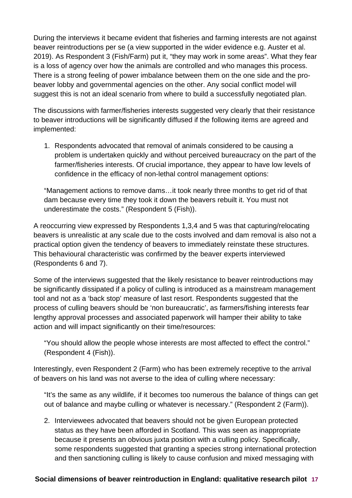During the interviews it became evident that fisheries and farming interests are not against beaver reintroductions per se (a view supported in the wider evidence e.g. Auster et al. 2019). As Respondent 3 (Fish/Farm) put it, "they may work in some areas". What they fear is a loss of agency over how the animals are controlled and who manages this process. There is a strong feeling of power imbalance between them on the one side and the probeaver lobby and governmental agencies on the other. Any social conflict model will suggest this is not an ideal scenario from where to build a successfully negotiated plan.

The discussions with farmer/fisheries interests suggested very clearly that their resistance to beaver introductions will be significantly diffused if the following items are agreed and implemented:

1. Respondents advocated that removal of animals considered to be causing a problem is undertaken quickly and without perceived bureaucracy on the part of the farmer/fisheries interests. Of crucial importance, they appear to have low levels of confidence in the efficacy of non-lethal control management options:

"Management actions to remove dams…it took nearly three months to get rid of that dam because every time they took it down the beavers rebuilt it. You must not underestimate the costs." (Respondent 5 (Fish)).

A reoccurring view expressed by Respondents 1,3,4 and 5 was that capturing/relocating beavers is unrealistic at any scale due to the costs involved and dam removal is also not a practical option given the tendency of beavers to immediately reinstate these structures. This behavioural characteristic was confirmed by the beaver experts interviewed (Respondents 6 and 7).

Some of the interviews suggested that the likely resistance to beaver reintroductions may be significantly dissipated if a policy of culling is introduced as a mainstream management tool and not as a 'back stop' measure of last resort. Respondents suggested that the process of culling beavers should be 'non bureaucratic', as farmers/fishing interests fear lengthy approval processes and associated paperwork will hamper their ability to take action and will impact significantly on their time/resources:

"You should allow the people whose interests are most affected to effect the control." (Respondent 4 (Fish)).

Interestingly, even Respondent 2 (Farm) who has been extremely receptive to the arrival of beavers on his land was not averse to the idea of culling where necessary:

"It's the same as any wildlife, if it becomes too numerous the balance of things can get out of balance and maybe culling or whatever is necessary." (Respondent 2 (Farm)).

2. Interviewees advocated that beavers should not be given European protected status as they have been afforded in Scotland. This was seen as inappropriate because it presents an obvious juxta position with a culling policy. Specifically, some respondents suggested that granting a species strong international protection and then sanctioning culling is likely to cause confusion and mixed messaging with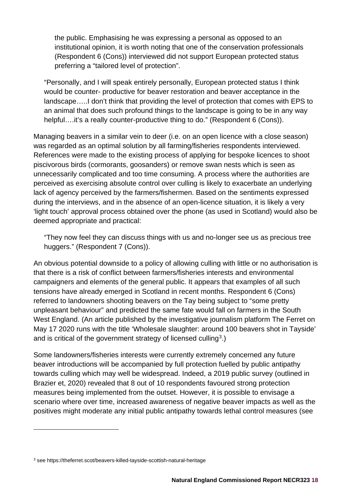the public. Emphasising he was expressing a personal as opposed to an institutional opinion, it is worth noting that one of the conservation professionals (Respondent 6 (Cons)) interviewed did not support European protected status preferring a "tailored level of protection".

"Personally, and I will speak entirely personally, European protected status I think would be counter- productive for beaver restoration and beaver acceptance in the landscape…..I don't think that providing the level of protection that comes with EPS to an animal that does such profound things to the landscape is going to be in any way helpful....it's a really counter-productive thing to do." (Respondent 6 (Cons)).

Managing beavers in a similar vein to deer (i.e. on an open licence with a close season) was regarded as an optimal solution by all farming/fisheries respondents interviewed. References were made to the existing process of applying for bespoke licences to shoot piscivorous birds (cormorants, goosanders) or remove swan nests which is seen as unnecessarily complicated and too time consuming. A process where the authorities are perceived as exercising absolute control over culling is likely to exacerbate an underlying lack of agency perceived by the farmers/fishermen. Based on the sentiments expressed during the interviews, and in the absence of an open-licence situation, it is likely a very 'light touch' approval process obtained over the phone (as used in Scotland) would also be deemed appropriate and practical:

"They now feel they can discuss things with us and no-longer see us as precious tree huggers." (Respondent 7 (Cons)).

An obvious potential downside to a policy of allowing culling with little or no authorisation is that there is a risk of conflict between farmers/fisheries interests and environmental campaigners and elements of the general public. It appears that examples of all such tensions have already emerged in Scotland in recent months. Respondent 6 (Cons) referred to landowners shooting beavers on the Tay being subject to "some pretty unpleasant behaviour" and predicted the same fate would fall on farmers in the South West England. (An article published by the investigative journalism platform The Ferret on May 17 2020 runs with the title 'Wholesale slaughter: around 100 beavers shot in Tayside' and is critical of the government strategy of licensed culling<sup>[3](#page-17-0)</sup>.)

Some landowners/fisheries interests were currently extremely concerned any future beaver introductions will be accompanied by full protection fuelled by public antipathy towards culling which may well be widespread. Indeed, a 2019 public survey (outlined in Brazier et, 2020) revealed that 8 out of 10 respondents favoured strong protection measures being implemented from the outset. However, it is possible to envisage a scenario where over time, increased awareness of negative beaver impacts as well as the positives might moderate any initial public antipathy towards lethal control measures (see

<span id="page-17-0"></span><sup>3</sup> see https://theferret.scot/beavers-killed-tayside-scottish-natural-heritage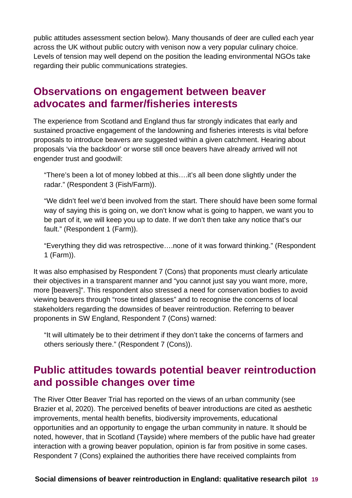public attitudes assessment section below). Many thousands of deer are culled each year across the UK without public outcry with venison now a very popular culinary choice. Levels of tension may well depend on the position the leading environmental NGOs take regarding their public communications strategies.

#### <span id="page-18-0"></span>**Observations on engagement between beaver advocates and farmer/fisheries interests**

The experience from Scotland and England thus far strongly indicates that early and sustained proactive engagement of the landowning and fisheries interests is vital before proposals to introduce beavers are suggested within a given catchment. Hearing about proposals 'via the backdoor' or worse still once beavers have already arrived will not engender trust and goodwill:

"There's been a lot of money lobbed at this….it's all been done slightly under the radar." (Respondent 3 (Fish/Farm)).

"We didn't feel we'd been involved from the start. There should have been some formal way of saying this is going on, we don't know what is going to happen, we want you to be part of it, we will keep you up to date. If we don't then take any notice that's our fault." (Respondent 1 (Farm)).

"Everything they did was retrospective….none of it was forward thinking." (Respondent 1 (Farm)).

It was also emphasised by Respondent 7 (Cons) that proponents must clearly articulate their objectives in a transparent manner and "you cannot just say you want more, more, more [beavers]". This respondent also stressed a need for conservation bodies to avoid viewing beavers through "rose tinted glasses" and to recognise the concerns of local stakeholders regarding the downsides of beaver reintroduction. Referring to beaver proponents in SW England, Respondent 7 (Cons) warned:

"It will ultimately be to their detriment if they don't take the concerns of farmers and others seriously there." (Respondent 7 (Cons)).

#### <span id="page-18-1"></span>**Public attitudes towards potential beaver reintroduction and possible changes over time**

The River Otter Beaver Trial has reported on the views of an urban community (see Brazier et al, 2020). The perceived benefits of beaver introductions are cited as aesthetic improvements, mental health benefits, biodiversity improvements, educational opportunities and an opportunity to engage the urban community in nature. It should be noted, however, that in Scotland (Tayside) where members of the public have had greater interaction with a growing beaver population, opinion is far from positive in some cases. Respondent 7 (Cons) explained the authorities there have received complaints from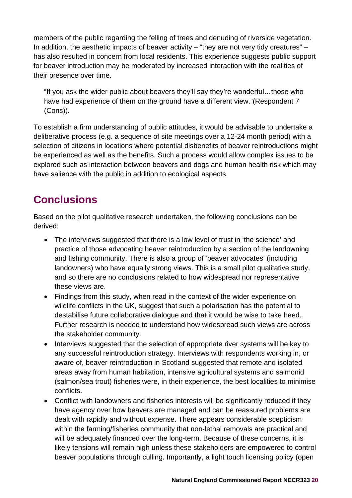members of the public regarding the felling of trees and denuding of riverside vegetation. In addition, the aesthetic impacts of beaver activity – "they are not very tidy creatures" – has also resulted in concern from local residents. This experience suggests public support for beaver introduction may be moderated by increased interaction with the realities of their presence over time.

"If you ask the wider public about beavers they'll say they're wonderful…those who have had experience of them on the ground have a different view."(Respondent 7 (Cons)).

To establish a firm understanding of public attitudes, it would be advisable to undertake a deliberative process (e.g. a sequence of site meetings over a 12-24 month period) with a selection of citizens in locations where potential disbenefits of beaver reintroductions might be experienced as well as the benefits. Such a process would allow complex issues to be explored such as interaction between beavers and dogs and human health risk which may have salience with the public in addition to ecological aspects.

### <span id="page-19-0"></span>**Conclusions**

Based on the pilot qualitative research undertaken, the following conclusions can be derived:

- The interviews suggested that there is a low level of trust in 'the science' and practice of those advocating beaver reintroduction by a section of the landowning and fishing community. There is also a group of 'beaver advocates' (including landowners) who have equally strong views. This is a small pilot qualitative study, and so there are no conclusions related to how widespread nor representative these views are.
- Findings from this study, when read in the context of the wider experience on wildlife conflicts in the UK, suggest that such a polarisation has the potential to destabilise future collaborative dialogue and that it would be wise to take heed. Further research is needed to understand how widespread such views are across the stakeholder community.
- Interviews suggested that the selection of appropriate river systems will be key to any successful reintroduction strategy. Interviews with respondents working in, or aware of, beaver reintroduction in Scotland suggested that remote and isolated areas away from human habitation, intensive agricultural systems and salmonid (salmon/sea trout) fisheries were, in their experience, the best localities to minimise conflicts.
- Conflict with landowners and fisheries interests will be significantly reduced if they have agency over how beavers are managed and can be reassured problems are dealt with rapidly and without expense. There appears considerable scepticism within the farming/fisheries community that non-lethal removals are practical and will be adequately financed over the long-term. Because of these concerns, it is likely tensions will remain high unless these stakeholders are empowered to control beaver populations through culling. Importantly, a light touch licensing policy (open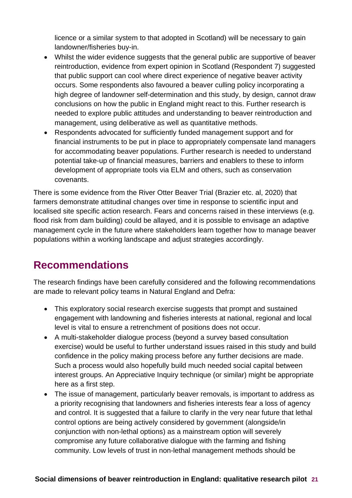licence or a similar system to that adopted in Scotland) will be necessary to gain landowner/fisheries buy-in.

- Whilst the wider evidence suggests that the general public are supportive of beaver reintroduction, evidence from expert opinion in Scotland (Respondent 7) suggested that public support can cool where direct experience of negative beaver activity occurs. Some respondents also favoured a beaver culling policy incorporating a high degree of landowner self-determination and this study, by design, cannot draw conclusions on how the public in England might react to this. Further research is needed to explore public attitudes and understanding to beaver reintroduction and management, using deliberative as well as quantitative methods.
- Respondents advocated for sufficiently funded management support and for financial instruments to be put in place to appropriately compensate land managers for accommodating beaver populations. Further research is needed to understand potential take-up of financial measures, barriers and enablers to these to inform development of appropriate tools via ELM and others, such as conservation covenants.

There is some evidence from the River Otter Beaver Trial (Brazier etc. al, 2020) that farmers demonstrate attitudinal changes over time in response to scientific input and localised site specific action research. Fears and concerns raised in these interviews (e.g. flood risk from dam building) could be allayed, and it is possible to envisage an adaptive management cycle in the future where stakeholders learn together how to manage beaver populations within a working landscape and adjust strategies accordingly.

#### <span id="page-20-0"></span>**Recommendations**

The research findings have been carefully considered and the following recommendations are made to relevant policy teams in Natural England and Defra:

- This exploratory social research exercise suggests that prompt and sustained engagement with landowning and fisheries interests at national, regional and local level is vital to ensure a retrenchment of positions does not occur.
- A multi-stakeholder dialogue process (beyond a survey based consultation exercise) would be useful to further understand issues raised in this study and build confidence in the policy making process before any further decisions are made. Such a process would also hopefully build much needed social capital between interest groups. An Appreciative Inquiry technique (or similar) might be appropriate here as a first step.
- The issue of management, particularly beaver removals, is important to address as a priority recognising that landowners and fisheries interests fear a loss of agency and control. It is suggested that a failure to clarify in the very near future that lethal control options are being actively considered by government (alongside/in conjunction with non-lethal options) as a mainstream option will severely compromise any future collaborative dialogue with the farming and fishing community. Low levels of trust in non-lethal management methods should be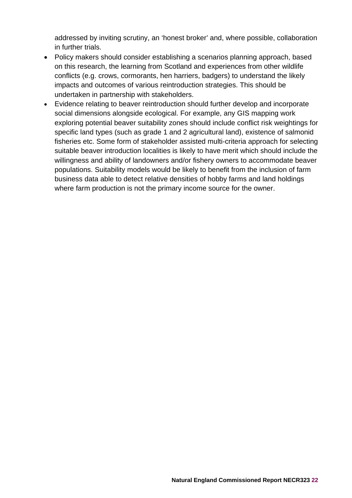addressed by inviting scrutiny, an 'honest broker' and, where possible, collaboration in further trials.

- Policy makers should consider establishing a scenarios planning approach, based on this research, the learning from Scotland and experiences from other wildlife conflicts (e.g. crows, cormorants, hen harriers, badgers) to understand the likely impacts and outcomes of various reintroduction strategies. This should be undertaken in partnership with stakeholders.
- Evidence relating to beaver reintroduction should further develop and incorporate social dimensions alongside ecological. For example, any GIS mapping work exploring potential beaver suitability zones should include conflict risk weightings for specific land types (such as grade 1 and 2 agricultural land), existence of salmonid fisheries etc. Some form of stakeholder assisted multi-criteria approach for selecting suitable beaver introduction localities is likely to have merit which should include the willingness and ability of landowners and/or fishery owners to accommodate beaver populations. Suitability models would be likely to benefit from the inclusion of farm business data able to detect relative densities of hobby farms and land holdings where farm production is not the primary income source for the owner.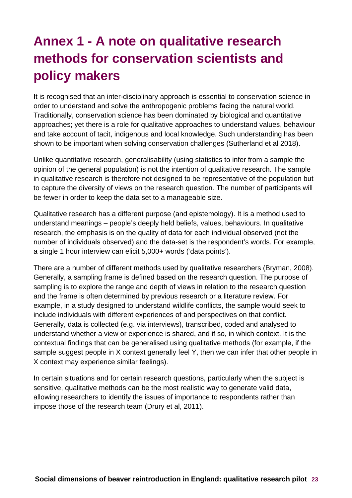## <span id="page-22-0"></span>**Annex 1 - A note on qualitative research methods for conservation scientists and policy makers**

It is recognised that an inter-disciplinary approach is essential to conservation science in order to understand and solve the anthropogenic problems facing the natural world. Traditionally, conservation science has been dominated by biological and quantitative approaches; yet there is a role for qualitative approaches to understand values, behaviour and take account of tacit, indigenous and local knowledge. Such understanding has been shown to be important when solving conservation challenges (Sutherland et al 2018).

Unlike quantitative research, generalisability (using statistics to infer from a sample the opinion of the general population) is not the intention of qualitative research. The sample in qualitative research is therefore not designed to be representative of the population but to capture the diversity of views on the research question. The number of participants will be fewer in order to keep the data set to a manageable size.

Qualitative research has a different purpose (and epistemology). It is a method used to understand meanings – people's deeply held beliefs, values, behaviours. In qualitative research, the emphasis is on the quality of data for each individual observed (not the number of individuals observed) and the data-set is the respondent's words. For example, a single 1 hour interview can elicit 5,000+ words ('data points').

There are a number of different methods used by qualitative researchers (Bryman, 2008). Generally, a sampling frame is defined based on the research question. The purpose of sampling is to explore the range and depth of views in relation to the research question and the frame is often determined by previous research or a literature review. For example, in a study designed to understand wildlife conflicts, the sample would seek to include individuals with different experiences of and perspectives on that conflict. Generally, data is collected (e.g. via interviews), transcribed, coded and analysed to understand whether a view or experience is shared, and if so, in which context. It is the contextual findings that can be generalised using qualitative methods (for example, if the sample suggest people in X context generally feel Y, then we can infer that other people in X context may experience similar feelings).

In certain situations and for certain research questions, particularly when the subject is sensitive, qualitative methods can be the most realistic way to generate valid data, allowing researchers to identify the issues of importance to respondents rather than impose those of the research team (Drury et al, 2011).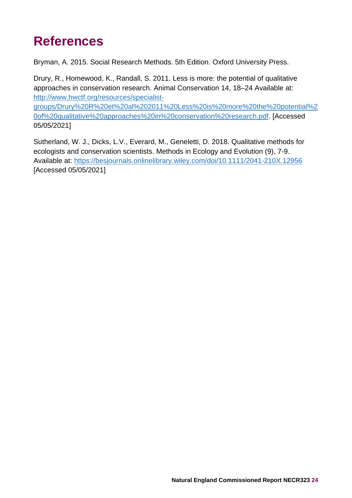## <span id="page-23-0"></span>**References**

Bryman, A. 2015. Social Research Methods. 5th Edition. Oxford University Press.

Drury, R., Homewood, K., Randall, S. 2011. Less is more: the potential of qualitative approaches in conservation research. Animal Conservation 14, 18–24 Available at: [http://www.hwctf.org/resources/specialist](http://www.hwctf.org/resources/specialist-groups/Drury%20R%20et%20al%202011%20Less%20is%20more%20the%20potential%20of%20qualitative%20approaches%20in%20conservation%20research.pdf)[groups/Drury%20R%20et%20al%202011%20Less%20is%20more%20the%20potential%2](http://www.hwctf.org/resources/specialist-groups/Drury%20R%20et%20al%202011%20Less%20is%20more%20the%20potential%20of%20qualitative%20approaches%20in%20conservation%20research.pdf) [0of%20qualitative%20approaches%20in%20conservation%20research.pdf.](http://www.hwctf.org/resources/specialist-groups/Drury%20R%20et%20al%202011%20Less%20is%20more%20the%20potential%20of%20qualitative%20approaches%20in%20conservation%20research.pdf) [Accessed 05/05/2021]

Sutherland, W. J., Dicks, L.V., Everard, M., Geneletti, D. 2018. Qualitative methods for ecologists and conservation scientists. Methods in Ecology and Evolution (9), 7-9. Available at:<https://besjournals.onlinelibrary.wiley.com/doi/10.1111/2041-210X.12956> [Accessed 05/05/2021]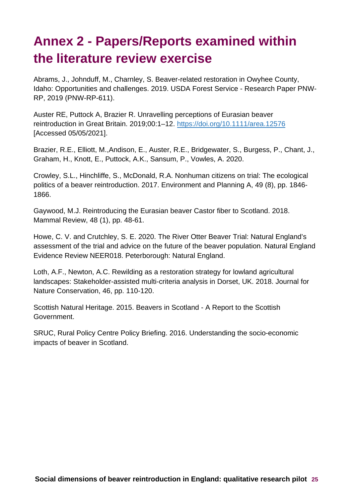### <span id="page-24-0"></span>**Annex 2 - Papers/Reports examined within the literature review exercise**

Abrams, J., Johnduff, M., Charnley, S. Beaver-related restoration in Owyhee County, Idaho: Opportunities and challenges. 2019. USDA Forest Service - Research Paper PNW-RP, 2019 (PNW-RP-611).

Auster RE, Puttock A, Brazier R. Unravelling perceptions of Eurasian beaver reintroduction in Great Britain. 2019;00:1–12.<https://doi.org/10.1111/area.12576> [Accessed 05/05/2021].

Brazier, R.E., Elliott, M.,Andison, E., Auster, R.E., Bridgewater, S., Burgess, P., Chant, J., Graham, H., Knott, E., Puttock, A.K., Sansum, P., Vowles, A. 2020.

Crowley, S.L., Hinchliffe, S., McDonald, R.A. Nonhuman citizens on trial: The ecological politics of a beaver reintroduction. 2017. Environment and Planning A, 49 (8), pp. 1846- 1866.

Gaywood, M.J. Reintroducing the Eurasian beaver Castor fiber to Scotland. 2018. Mammal Review, 48 (1), pp. 48-61.

Howe, C. V. and Crutchley, S. E. 2020. The River Otter Beaver Trial: Natural England's assessment of the trial and advice on the future of the beaver population. Natural England Evidence Review NEER018. Peterborough: Natural England.

Loth, A.F., Newton, A.C. Rewilding as a restoration strategy for lowland agricultural landscapes: Stakeholder-assisted multi-criteria analysis in Dorset, UK. 2018. Journal for Nature Conservation, 46, pp. 110-120.

Scottish Natural Heritage. 2015. Beavers in Scotland - A Report to the Scottish Government.

SRUC, Rural Policy Centre Policy Briefing. 2016. Understanding the socio-economic impacts of beaver in Scotland.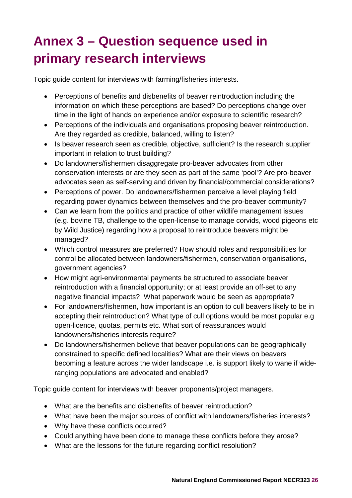## <span id="page-25-0"></span>**Annex 3 – Question sequence used in primary research interviews**

Topic guide content for interviews with farming/fisheries interests.

- Perceptions of benefits and disbenefits of beaver reintroduction including the information on which these perceptions are based? Do perceptions change over time in the light of hands on experience and/or exposure to scientific research?
- Perceptions of the individuals and organisations proposing beaver reintroduction. Are they regarded as credible, balanced, willing to listen?
- Is beaver research seen as credible, objective, sufficient? Is the research supplier important in relation to trust building?
- Do landowners/fishermen disaggregate pro-beaver advocates from other conservation interests or are they seen as part of the same 'pool'? Are pro-beaver advocates seen as self-serving and driven by financial/commercial considerations?
- Perceptions of power. Do landowners/fishermen perceive a level playing field regarding power dynamics between themselves and the pro-beaver community?
- Can we learn from the politics and practice of other wildlife management issues (e.g. bovine TB, challenge to the open-license to manage corvids, wood pigeons etc by Wild Justice) regarding how a proposal to reintroduce beavers might be managed?
- Which control measures are preferred? How should roles and responsibilities for control be allocated between landowners/fishermen, conservation organisations, government agencies?
- How might agri-environmental payments be structured to associate beaver reintroduction with a financial opportunity; or at least provide an off-set to any negative financial impacts? What paperwork would be seen as appropriate?
- For landowners/fishermen, how important is an option to cull beavers likely to be in accepting their reintroduction? What type of cull options would be most popular e.g open-licence, quotas, permits etc. What sort of reassurances would landowners/fisheries interests require?
- Do landowners/fishermen believe that beaver populations can be geographically constrained to specific defined localities? What are their views on beavers becoming a feature across the wider landscape i.e. is support likely to wane if wideranging populations are advocated and enabled?

Topic guide content for interviews with beaver proponents/project managers.

- What are the benefits and disbenefits of beaver reintroduction?
- What have been the major sources of conflict with landowners/fisheries interests?
- Why have these conflicts occurred?
- Could anything have been done to manage these conflicts before they arose?
- What are the lessons for the future regarding conflict resolution?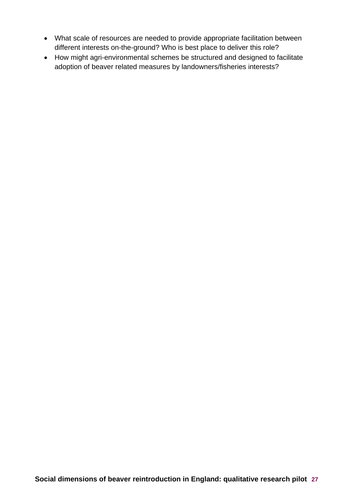- What scale of resources are needed to provide appropriate facilitation between different interests on-the-ground? Who is best place to deliver this role?
- How might agri-environmental schemes be structured and designed to facilitate adoption of beaver related measures by landowners/fisheries interests?